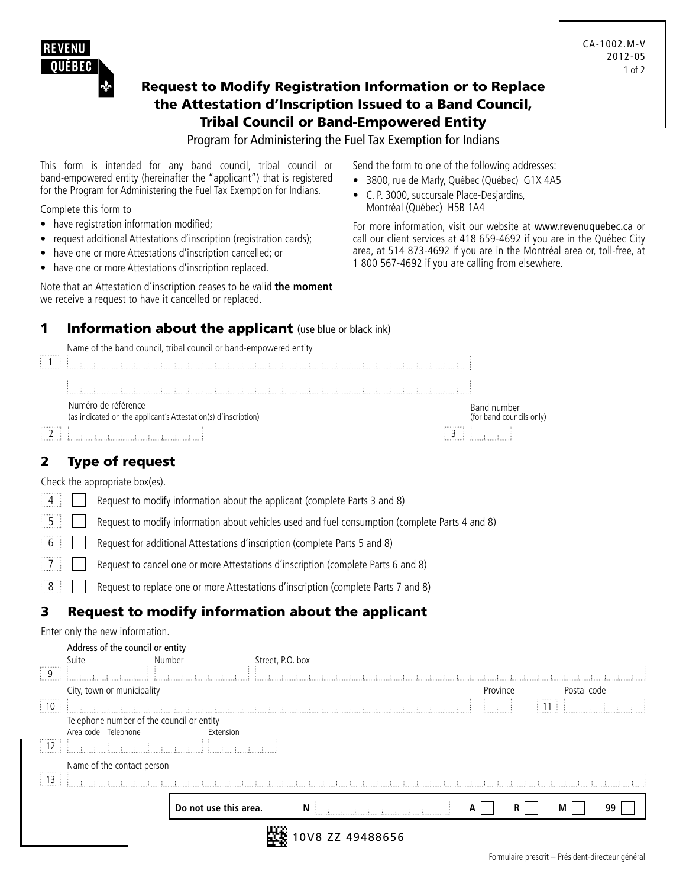

#### Request to Modify Registration Information or to Replace the Attestation d'Inscription Issued to a Band Council, Tribal Council or Band-Empowered Entity

#### Program for Administering the Fuel Tax Exemption for Indians

This form is intended for any band council, tribal council or band-empowered entity (hereinafter the "applicant") that is registered for the Program for Administering the Fuel Tax Exemption for Indians.

Complete this form to

- have registration information modified;
- request additional Attestations d'inscription (registration cards);
- have one or more Attestations d'inscription cancelled; or
- have one or more Attestations d'inscription replaced.

Note that an Attestation d'inscription ceases to be valid **the moment** we receive a request to have it cancelled or replaced.

Send the form to one of the following addresses:

- 3800, rue de Marly, Québec (Québec) G1X 4A5
- • C. P. 3000, succursale Place-Desjardins, Montréal (Québec) H5B 1A4

For more information, visit our website at www.revenuquebec.ca or call our client services at 418 659-4692 if you are in the Québec City area, at 514 873-4692 if you are in the Montréal area or, toll-free, at 1 800 567-4692 if you are calling from elsewhere.

#### **1 Information about the applicant** (use blue or black ink)

Name of the band council, tribal council or band-empowered entity



## 2 Type of request

Check the appropriate box(es).

| $\vert 4 \vert$ | Request to modify information about the applicant (complete Parts 3 and 8)                      |
|-----------------|-------------------------------------------------------------------------------------------------|
| $5 \mid$        | Request to modify information about vehicles used and fuel consumption (complete Parts 4 and 8) |
| $6 \mid$        | Request for additional Attestations d'inscription (complete Parts 5 and 8)                      |
| $\overline{7}$  | Request to cancel one or more Attestations d'inscription (complete Parts 6 and 8)               |
| $\boxed{8}$     | Request to replace one or more Attestations d'inscription (complete Parts 7 and 8)              |
|                 |                                                                                                 |

## 3 Request to modify information about the applicant

Enter only the new information.

|                       | Address of the council or entity          |                       |                  |   |          |   |             |    |  |
|-----------------------|-------------------------------------------|-----------------------|------------------|---|----------|---|-------------|----|--|
|                       | Suite                                     | Number                | Street, P.O. box |   |          |   |             |    |  |
| <br>9                 |                                           |                       |                  |   |          |   |             |    |  |
|                       | City, town or municipality                |                       |                  |   | Province |   | Postal code |    |  |
| <br>$\frac{1}{2}$ 10  |                                           |                       |                  |   |          | . |             |    |  |
|                       | Telephone number of the council or entity |                       |                  |   |          |   |             |    |  |
|                       | Area code Telephone                       | Extension             |                  |   |          |   |             |    |  |
| $\frac{1}{2}$ 12      |                                           |                       |                  |   |          |   |             |    |  |
|                       | Name of the contact person                |                       |                  |   |          |   |             |    |  |
| .<br>$\frac{1}{2}$ 13 |                                           |                       |                  |   |          |   |             |    |  |
|                       |                                           | Do not use this area. | N                | А |          | R | M           | 99 |  |
|                       |                                           |                       | 0V8 ZZ 49488656  |   |          |   |             |    |  |